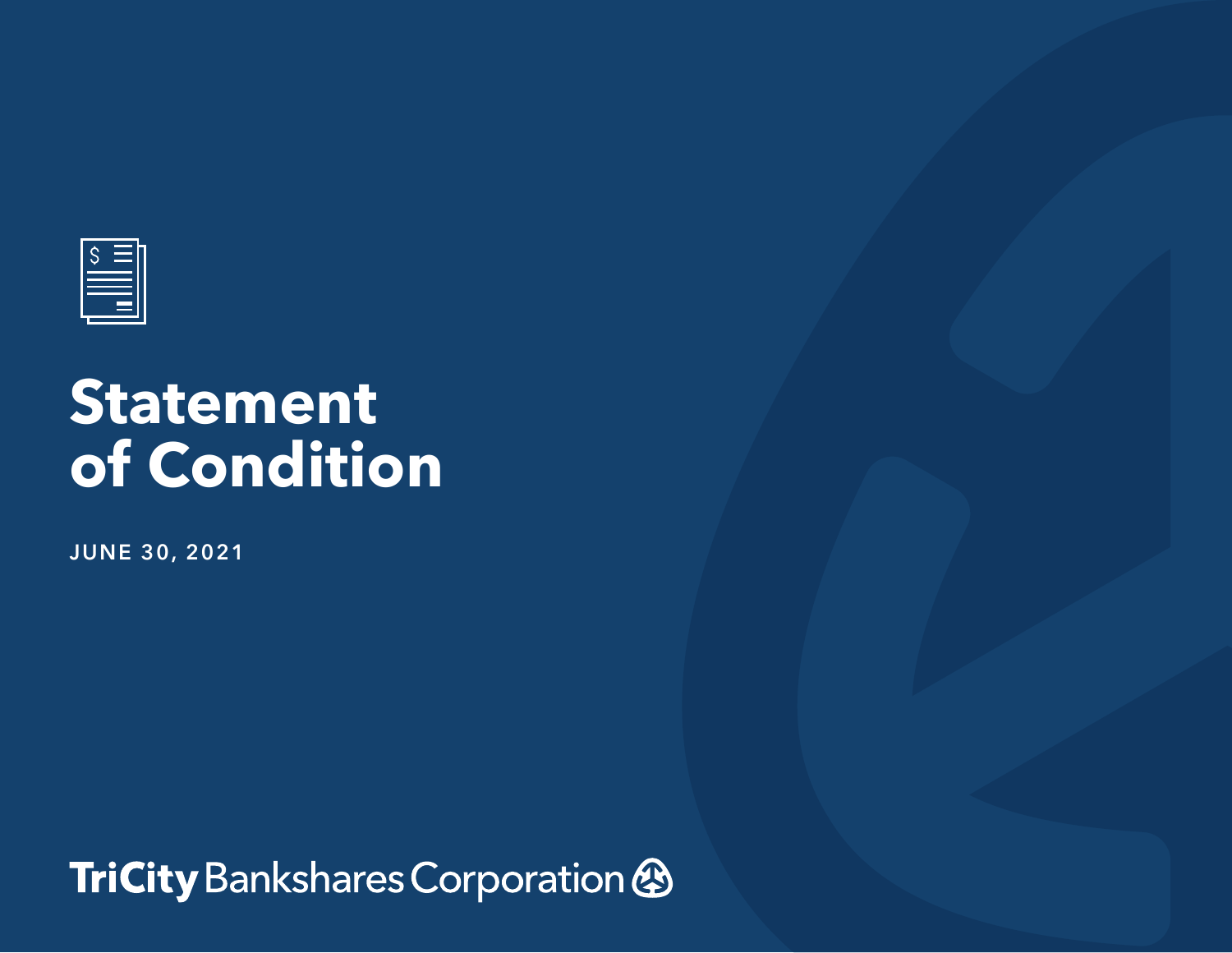

## **Statement of Condition**

**JUNE 30, 2021**

TriCity Bankshares Corporation &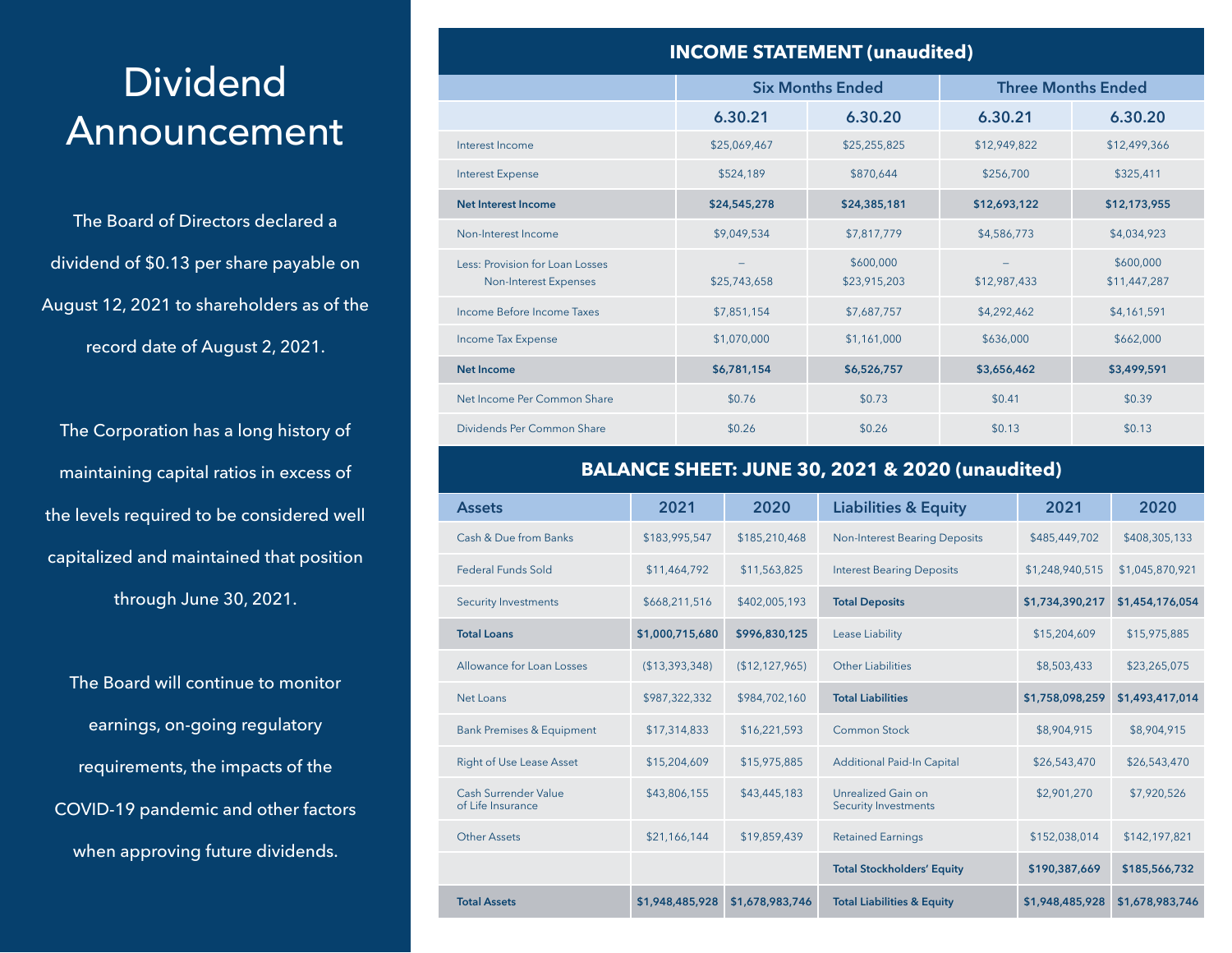## Dividend Announcement

The Board of Directors declared a dividend of \$0.13 per share payable on August 12, 2021 to shareholders as of the record date of August 2, 2021.

The Corporation has a long history of maintaining capital ratios in excess of the levels required to be considered well capitalized and maintained that position through June 30, 2021.

The Board will continue to monitor earnings, on-going regulatory requirements, the impacts of the COVID-19 pandemic and other factors when approving future dividends.

| <b>INCOME STATEMENT (unaudited)</b>                      |              |                           |                           |                           |  |  |  |  |  |
|----------------------------------------------------------|--------------|---------------------------|---------------------------|---------------------------|--|--|--|--|--|
|                                                          |              | <b>Six Months Ended</b>   | <b>Three Months Ended</b> |                           |  |  |  |  |  |
|                                                          | 6.30.21      | 6.30.20                   | 6.30.21                   | 6.30.20                   |  |  |  |  |  |
| Interest Income                                          | \$25,069,467 | \$25,255,825              | \$12,949,822              | \$12,499,366              |  |  |  |  |  |
| <b>Interest Expense</b>                                  | \$524,189    | \$870,644                 | \$256,700                 | \$325,411                 |  |  |  |  |  |
| <b>Net Interest Income</b>                               | \$24,545,278 | \$24,385,181              | \$12,693,122              | \$12,173,955              |  |  |  |  |  |
| Non-Interest Income                                      | \$9,049,534  | \$7,817,779               | \$4,586,773               | \$4,034,923               |  |  |  |  |  |
| Less: Provision for Loan Losses<br>Non-Interest Expenses | \$25,743,658 | \$600,000<br>\$23,915,203 | \$12,987,433              | \$600,000<br>\$11,447,287 |  |  |  |  |  |
| Income Before Income Taxes                               | \$7,851,154  | \$7,687,757               | \$4,292,462               | \$4,161,591               |  |  |  |  |  |
| Income Tax Expense                                       | \$1,070,000  | \$1,161,000               | \$636,000                 | \$662,000                 |  |  |  |  |  |
| Net Income                                               | \$6,781,154  | \$6,526,757               | \$3,656,462               | \$3,499,591               |  |  |  |  |  |
| Net Income Per Common Share                              | \$0.76       | \$0.73                    | \$0.41                    | \$0.39                    |  |  |  |  |  |
| Dividends Per Common Share                               | \$0.26       | \$0.26                    | \$0.13                    | \$0.13                    |  |  |  |  |  |

## **BALANCE SHEET: JUNE 30, 2021 & 2020 (unaudited)**

| <b>Assets</b>                             | 2021            | 2020            | <b>Liabilities &amp; Equity</b>                          | 2021            | 2020            |
|-------------------------------------------|-----------------|-----------------|----------------------------------------------------------|-----------------|-----------------|
| Cash & Due from Banks                     | \$183,995,547   | \$185,210,468   | <b>Non-Interest Bearing Deposits</b>                     | \$485,449,702   | \$408,305,133   |
| <b>Federal Funds Sold</b>                 | \$11,464,792    | \$11,563,825    | <b>Interest Bearing Deposits</b>                         | \$1,248,940,515 | \$1,045,870,921 |
| <b>Security Investments</b>               | \$668,211,516   | \$402,005,193   | <b>Total Deposits</b>                                    | \$1,734,390,217 | \$1,454,176,054 |
| <b>Total Loans</b>                        | \$1,000,715,680 | \$996,830,125   | Lease Liability                                          | \$15,204,609    | \$15,975,885    |
| Allowance for Loan Losses                 | (\$13,393,348)  | (\$12,127,965)  | <b>Other Liabilities</b>                                 | \$8,503,433     | \$23,265,075    |
| Net Loans                                 | \$987,322,332   | \$984,702,160   | <b>Total Liabilities</b>                                 | \$1,758,098,259 | \$1,493,417,014 |
| <b>Bank Premises &amp; Equipment</b>      | \$17,314,833    | \$16,221,593    | <b>Common Stock</b>                                      | \$8,904,915     | \$8,904,915     |
| <b>Right of Use Lease Asset</b>           | \$15,204,609    | \$15,975,885    | <b>Additional Paid-In Capital</b>                        | \$26,543,470    | \$26,543,470    |
| Cash Surrender Value<br>of Life Insurance | \$43,806,155    | \$43,445,183    | <b>Unrealized Gain on</b><br><b>Security Investments</b> | \$2,901,270     | \$7,920,526     |
| <b>Other Assets</b>                       | \$21,166,144    | \$19,859,439    | <b>Retained Earnings</b>                                 | \$152,038,014   | \$142,197,821   |
|                                           |                 |                 | <b>Total Stockholders' Equity</b>                        | \$190,387,669   | \$185,566,732   |
| <b>Total Assets</b>                       | \$1,948,485,928 | \$1,678,983,746 | <b>Total Liabilities &amp; Equity</b>                    | \$1,948,485,928 | \$1,678,983,746 |